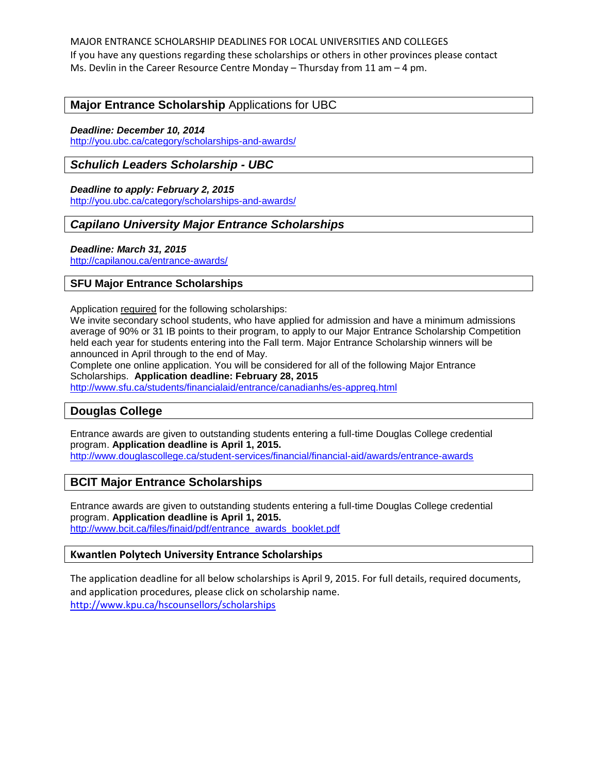MAJOR ENTRANCE SCHOLARSHIP DEADLINES FOR LOCAL UNIVERSITIES AND COLLEGES If you have any questions regarding these scholarships or others in other provinces please contact Ms. Devlin in the Career Resource Centre Monday – Thursday from 11 am – 4 pm.

### **Major Entrance Scholarship** Applications for UBC

#### *Deadline: December 10, 2014*

<http://you.ubc.ca/category/scholarships-and-awards/>

### *Schulich Leaders Scholarship - UBC*

#### *Deadline to apply: February 2, 2015*

<http://you.ubc.ca/category/scholarships-and-awards/>

### *Capilano University Major Entrance Scholarships*

#### *Deadline: March 31, 2015*

<http://capilanou.ca/entrance-awards/>

#### **SFU Major Entrance Scholarships**

Application required for the following scholarships:

We invite secondary school students, who have applied for admission and have a minimum admissions average of 90% or 31 IB points to their program, to apply to our Major Entrance Scholarship Competition held each year for students entering into the Fall term. Major Entrance Scholarship winners will be announced in April through to the end of May.

Complete one online application. You will be considered for all of the following Major Entrance Scholarships. **Application deadline: February 28, 2015**

<http://www.sfu.ca/students/financialaid/entrance/canadianhs/es-appreq.html>

### **Douglas College**

Entrance awards are given to outstanding students entering a full-time Douglas College credential program. **Application deadline is April 1, 2015.**

<http://www.douglascollege.ca/student-services/financial/financial-aid/awards/entrance-awards>

### **BCIT Major Entrance Scholarships**

Entrance awards are given to outstanding students entering a full-time Douglas College credential program. **Application deadline is April 1, 2015.** [http://www.bcit.ca/files/finaid/pdf/entrance\\_awards\\_booklet.pdf](http://www.bcit.ca/files/finaid/pdf/entrance_awards_booklet.pdf)

### **Kwantlen Polytech University Entrance Scholarships**

The application deadline for all below scholarships is April 9, 2015. For full details, required documents, and application procedures, please click on scholarship name. <http://www.kpu.ca/hscounsellors/scholarships>